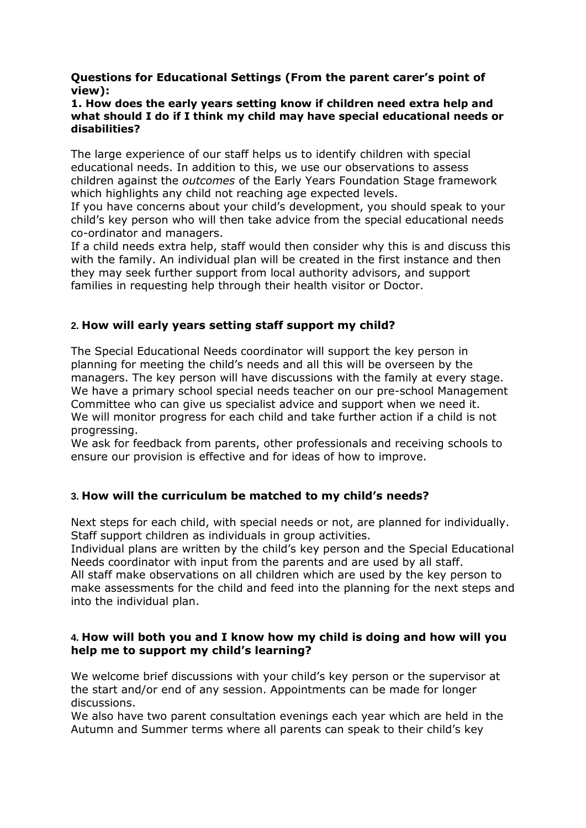### **Questions for Educational Settings (From the parent carer's point of view):**

#### **1. How does the early years setting know if children need extra help and what should I do if I think my child may have special educational needs or disabilities?**

The large experience of our staff helps us to identify children with special educational needs. In addition to this, we use our observations to assess children against the *outcomes* of the Early Years Foundation Stage framework which highlights any child not reaching age expected levels.

If you have concerns about your child's development, you should speak to your child's key person who will then take advice from the special educational needs co-ordinator and managers.

If a child needs extra help, staff would then consider why this is and discuss this with the family. An individual plan will be created in the first instance and then they may seek further support from local authority advisors, and support families in requesting help through their health visitor or Doctor.

# **2. How will early years setting staff support my child?**

The Special Educational Needs coordinator will support the key person in planning for meeting the child's needs and all this will be overseen by the managers. The key person will have discussions with the family at every stage. We have a primary school special needs teacher on our pre-school Management Committee who can give us specialist advice and support when we need it. We will monitor progress for each child and take further action if a child is not progressing.

We ask for feedback from parents, other professionals and receiving schools to ensure our provision is effective and for ideas of how to improve.

## **3. How will the curriculum be matched to my child's needs?**

Next steps for each child, with special needs or not, are planned for individually. Staff support children as individuals in group activities.

Individual plans are written by the child's key person and the Special Educational Needs coordinator with input from the parents and are used by all staff.

All staff make observations on all children which are used by the key person to make assessments for the child and feed into the planning for the next steps and into the individual plan.

### **4. How will both you and I know how my child is doing and how will you help me to support my child's learning?**

We welcome brief discussions with your child's key person or the supervisor at the start and/or end of any session. Appointments can be made for longer discussions.

We also have two parent consultation evenings each year which are held in the Autumn and Summer terms where all parents can speak to their child's key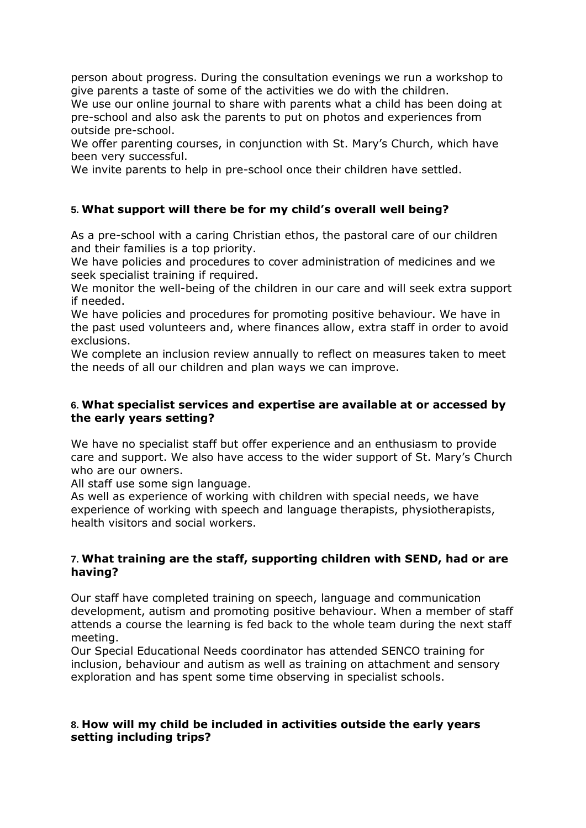person about progress. During the consultation evenings we run a workshop to give parents a taste of some of the activities we do with the children.

We use our online journal to share with parents what a child has been doing at pre-school and also ask the parents to put on photos and experiences from outside pre-school.

We offer parenting courses, in conjunction with St. Mary's Church, which have been very successful.

We invite parents to help in pre-school once their children have settled.

# **5. What support will there be for my child's overall well being?**

As a pre-school with a caring Christian ethos, the pastoral care of our children and their families is a top priority.

We have policies and procedures to cover administration of medicines and we seek specialist training if required.

We monitor the well-being of the children in our care and will seek extra support if needed.

We have policies and procedures for promoting positive behaviour. We have in the past used volunteers and, where finances allow, extra staff in order to avoid exclusions.

We complete an inclusion review annually to reflect on measures taken to meet the needs of all our children and plan ways we can improve.

### **6. What specialist services and expertise are available at or accessed by the early years setting?**

We have no specialist staff but offer experience and an enthusiasm to provide care and support. We also have access to the wider support of St. Mary's Church who are our owners.

All staff use some sign language.

As well as experience of working with children with special needs, we have experience of working with speech and language therapists, physiotherapists, health visitors and social workers.

## **7. What training are the staff, supporting children with SEND, had or are having?**

Our staff have completed training on speech, language and communication development, autism and promoting positive behaviour. When a member of staff attends a course the learning is fed back to the whole team during the next staff meeting.

Our Special Educational Needs coordinator has attended SENCO training for inclusion, behaviour and autism as well as training on attachment and sensory exploration and has spent some time observing in specialist schools.

#### **8. How will my child be included in activities outside the early years setting including trips?**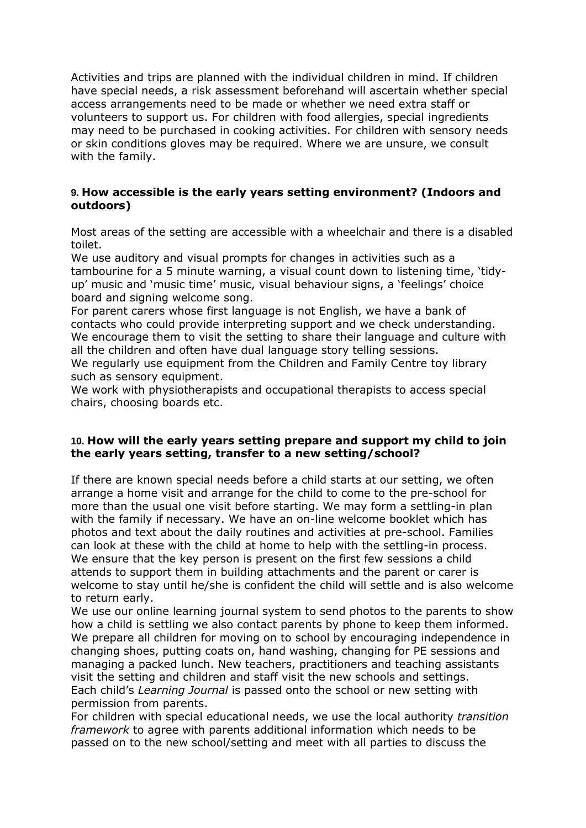Activities and trips are planned with the individual children in mind. If children have special needs, a risk assessment beforehand will ascertain whether special access arrangements need to be made or whether we need extra staff or volunteers to support us. For children with food allergies, special ingredients may need to be purchased in cooking activities. For children with sensory needs or skin conditions gloves may be required. Where we are unsure, we consult with the family.

## **9. How accessible is the early years setting environment? (Indoors and outdoors)**

Most areas of the setting are accessible with a wheelchair and there is a disabled toilet.

We use auditory and visual prompts for changes in activities such as a tambourine for a 5 minute warning, a visual count down to listening time, 'tidyup' music and 'music time' music, visual behaviour signs, a 'feelings' choice board and signing welcome song.

For parent carers whose first language is not English, we have a bank of contacts who could provide interpreting support and we check understanding. We encourage them to visit the setting to share their language and culture with all the children and often have dual language story telling sessions.

We regularly use equipment from the Children and Family Centre toy library such as sensory equipment.

We work with physiotherapists and occupational therapists to access special chairs, choosing boards etc.

### **10. How will the early years setting prepare and support my child to join the early years setting, transfer to a new setting/school?**

If there are known special needs before a child starts at our setting, we often arrange a home visit and arrange for the child to come to the pre-school for more than the usual one visit before starting. We may form a settling-in plan with the family if necessary. We have an on-line welcome booklet which has photos and text about the daily routines and activities at pre-school. Families can look at these with the child at home to help with the settling-in process. We ensure that the key person is present on the first few sessions a child attends to support them in building attachments and the parent or carer is welcome to stay until he/she is confident the child will settle and is also welcome to return early.

We use our online learning journal system to send photos to the parents to show how a child is settling we also contact parents by phone to keep them informed. We prepare all children for moving on to school by encouraging independence in changing shoes, putting coats on, hand washing, changing for PE sessions and managing a packed lunch. New teachers, practitioners and teaching assistants visit the setting and children and staff visit the new schools and settings. Each child's *Learning Journal* is passed onto the school or new setting with permission from parents.

For children with special educational needs, we use the local authority *transition framework* to agree with parents additional information which needs to be passed on to the new school/setting and meet with all parties to discuss the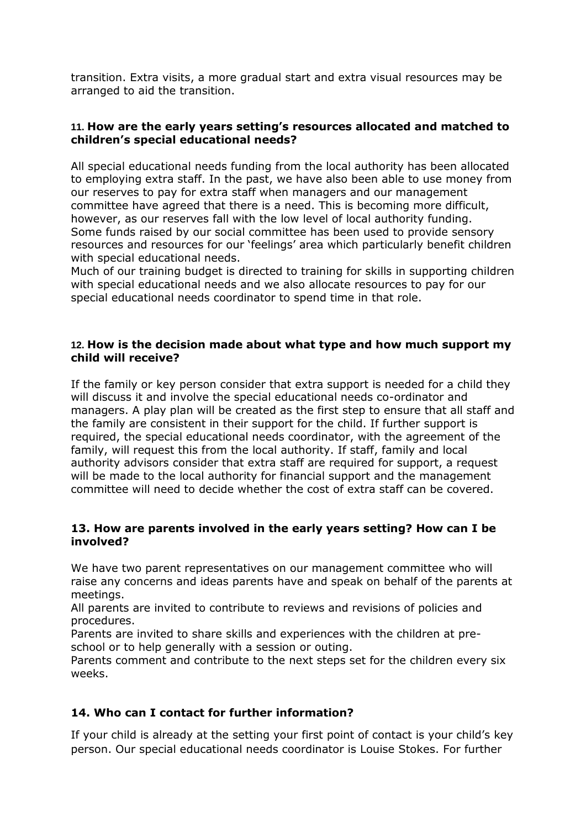transition. Extra visits, a more gradual start and extra visual resources may be arranged to aid the transition.

## **11. How are the early years setting's resources allocated and matched to children's special educational needs?**

All special educational needs funding from the local authority has been allocated to employing extra staff. In the past, we have also been able to use money from our reserves to pay for extra staff when managers and our management committee have agreed that there is a need. This is becoming more difficult, however, as our reserves fall with the low level of local authority funding. Some funds raised by our social committee has been used to provide sensory resources and resources for our 'feelings' area which particularly benefit children with special educational needs.

Much of our training budget is directed to training for skills in supporting children with special educational needs and we also allocate resources to pay for our special educational needs coordinator to spend time in that role.

### **12. How is the decision made about what type and how much support my child will receive?**

If the family or key person consider that extra support is needed for a child they will discuss it and involve the special educational needs co-ordinator and managers. A play plan will be created as the first step to ensure that all staff and the family are consistent in their support for the child. If further support is required, the special educational needs coordinator, with the agreement of the family, will request this from the local authority. If staff, family and local authority advisors consider that extra staff are required for support, a request will be made to the local authority for financial support and the management committee will need to decide whether the cost of extra staff can be covered.

## **13. How are parents involved in the early years setting? How can I be involved?**

We have two parent representatives on our management committee who will raise any concerns and ideas parents have and speak on behalf of the parents at meetings.

All parents are invited to contribute to reviews and revisions of policies and procedures.

Parents are invited to share skills and experiences with the children at preschool or to help generally with a session or outing.

Parents comment and contribute to the next steps set for the children every six weeks.

# **14. Who can I contact for further information?**

If your child is already at the setting your first point of contact is your child's key person. Our special educational needs coordinator is Louise Stokes. For further